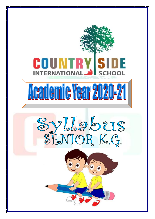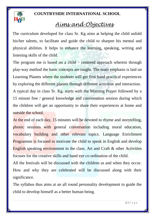

## *Aims and Objectives*

 The curriculum developed for class Sr. Kg aims at helping the child unfold his/her talents, to facilitate and guide the child to sharpen his mental and physical abilities. It helps to enhance the learning, speaking, writing and listening skills of the child.

The program me is based on a child – centered approach wherein through play-way method the basic concepts are taught. The main emphasis is laid on Learning Planets where the students will get first hand practical experiences by exploring the different planets through different activities and interaction. A typical day in class Sr. Kg. starts with the Morning Prayer followed by a 15 minute free / general knowledge and conversation session during which the children will get an opportunity to share their experiences at home and outside the school.

At the end of each day, 15 minutes will be devoted to rhyme and storytelling, phonic sessions with general conversation including moral education, vocabulary building and other relevant topics. Language Enrichment Programme is focused to motivate the child to speak in English and develop English speaking environment in the class. Art and Craft & other Activities focuses for the creative skills and hand eye co ordination of the child.

All the festivals will be discussed with the children as and when they occur. How and why they are celebrated will be discussed along with their significance.

The syllabus thus aims at an all round personality development to guide the child to develop himself as a better human being.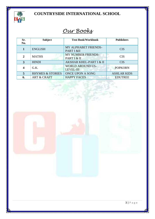

# *Our Books*

| Sr.<br>No.     | <b>Subject</b>              | <b>Text Book/Workbook</b>                   | <b>Publishers</b>  |
|----------------|-----------------------------|---------------------------------------------|--------------------|
|                | <b>ENGLISH</b>              | MY ALPHABET FRIENDS-<br>PART I &II          | <b>CIS</b>         |
| $\overline{2}$ | <b>MATHS</b>                | <b>MY NUMBER FRIENDS-</b><br>PART I & II    | <b>CIS</b>         |
| 3              | <b>HINDI</b>                | <b>AKSHAR KHEL-PART I &amp; II</b>          | <b>CIS</b>         |
| 4              | G.K.                        | <b>WORLD AROUND US-</b><br><b>LEVEL-III</b> | <b>POPKORN</b>     |
| 5              | <b>RHYMES &amp; STORIES</b> | <b>ONCE UPON A SONG</b>                     | <b>ASHLAR KIDS</b> |
| 6.             | <b>ART &amp; CRAFT</b>      | <b>HAPPY FACES</b>                          | <b>EDUTREE</b>     |

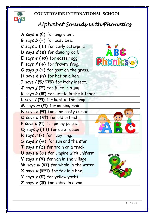

**BHS** 

# *Alphabet Sounds with Phonetics*

| A says $a(\vec{Q})$ for angry ant.                             |
|----------------------------------------------------------------|
| B says b (ब) for busy bee.                                     |
| C says c (क) for curly caterpillar                             |
| D says $d$ (5) for dancing doll.                               |
| $E$ says $e$ ( $\nabla$ $\overline{e}$ ) for easter egg        |
| F says $f(\mathfrak{F})$ for frowny frog.                      |
| G says $g(\overline{v})$ for goat on the grass.                |
| H says $h(\vec{e})$ for hat on a hen.                          |
| I says i (इ/आइ) for itchy insect.                              |
| $J$ says $j(\bar{J})$ for juice in a jug.                      |
| K says $k$ (क) for kettle in the kitchen.                      |
| L says / (ल) for light in the lamp.                            |
| M says m (H) for milking maid.                                 |
| N says n (न) for nine nasty numbers                            |
|                                                                |
| O says o (31) for old ostrich                                  |
| P says p (4) for penny purse.                                  |
| Q says q (क्व) for quiet queen                                 |
| R says r (<) for ruby ring.                                    |
| S says s (स) for sun and the star                              |
| $\mathsf T$ says $\mathcal t(\mathsf C)$ for train on a track. |
| $U$ says $U(3T)$ for umpire with uniform                       |
| V says $v(\overline{q})$ for van in the village.               |
| W says $w$ ( $\overline{q}$ ) for whale in the water           |
| X says $x$ (क्स) for fox in a box.                             |
| Y says $y(\overline{u})$ for yellow yacht.                     |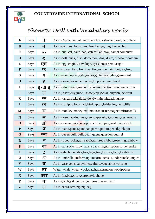

## *Phonetic Drill with Vocabulary words*

| $\mathbf{A}$ | Says        | ऐ            | As in -Apple, ant, alligator, anchor, astronaut, axe, aeroplane           |
|--------------|-------------|--------------|---------------------------------------------------------------------------|
| B            | Says        | ब            | As in-bat, boy, baby, bus, bee, burger, bag, books, bib                   |
| $\mathbf C$  | <b>Says</b> | क            | As in-cup, cat, cake, cap, caterpillar, cow, camel, computer              |
| D            | Says        | ड            | As in-doll, duck, dish, doraemon, dog, drum, dinosaur, dolphin            |
| E            | <b>Says</b> | एह           | As in-egg, engine, envelope, eyes, eraser, emu, eagle                     |
| $\mathbf{F}$ | Says        | फ            | As in-flower, fish, fox, five, fingers, fountain, foot, fan, frog         |
| G            | Says        | ग            | As in-grasshopper, gate, grapes, guitar, goat, glue, games, girl          |
| H            | Says        | ह            | As in-house, horse, helicopter, hippo, hammer, hotel                      |
| $\mathbf I$  | <b>Says</b> | इ/आइ         | As in-igloo,insect,inkpot,icecream,injection,iron,iguana,iron             |
| $\bf J$      | Says        | $\mathbf{E}$ | As in-joker, jelly, juice, jigsaw, jeep, jackal, jellyfish, jackfruit     |
| K            | Says        | क            | As in-kangaroo, koala, kettle, kiwi, kite, kitten, king, key              |
| L            | Says        | ल            | As in-Lollipop, lotus, ladybird, laptop, ladder, log, lamb, lilly         |
| M            | <b>Says</b> | म            | As in-monkey, money, mat, moon, monster, magnet, mirror, milk             |
| ${\bf N}$    | Says        | न            | As in-nose, napkin, nurse, newspaper, night, nut, nap, nest, needle       |
| $\mathbf 0$  | Says        | ओ            | As in-orange, onion, octopus, october, open, oval, one, ostrich           |
| ${\bf P}$    | Says        | प            | As in-piano, panda, pant, pan, parrot, pototo, pencil, pink, pot          |
| Q            |             |              |                                                                           |
|              | <b>Says</b> | क्व          | As in-queen, quill, quilt, quail, queue, question, quarrel                |
| $\mathbf R$  | Says        | र            | As in-robot, rocket, rail, rabbit, rain, red, ribbon, rose, ring, rainbow |
| S            | <b>Says</b> | स            | As in-sun, socks, snow, swan, soap, ship, star, spoon, spider, snake      |
| T            | Says        | <u>र</u>     | As in-telephone, table, tree, tiger, two, tortoise, train, toothbrush     |
| U            | <b>Says</b> | अ            | As in-umbrella, uniform, up, unicorn, utensils, under, uncle, umpire      |
| $\mathbf{V}$ | <b>Says</b> | व            | As in-vase, veins, van, violet, vulture, vegetables, volcano              |
| W            | Says        | वाँ          | Water, whale, wheel, wool, watch, watermelon, woodpecker                  |
| $\mathbf{X}$ | Says        | क्स          | As in-fox, box, x-ray, xerox, xylophone                                   |
| Y            | Says        | य            | As in-yatch, yak, yellow, yell, yo-yo, yawn, yarn                         |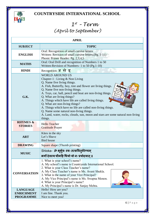

# *1 st – Term (April to September)*

| <b>APRIL</b>                                             |                                                                                                                                                                                                                                                                                                                                                                                                                                                                                                                                                                                                   |  |
|----------------------------------------------------------|---------------------------------------------------------------------------------------------------------------------------------------------------------------------------------------------------------------------------------------------------------------------------------------------------------------------------------------------------------------------------------------------------------------------------------------------------------------------------------------------------------------------------------------------------------------------------------------------------|--|
| <b>SUBJECT</b>                                           | <b>TOPIC</b>                                                                                                                                                                                                                                                                                                                                                                                                                                                                                                                                                                                      |  |
| <b>ENGLISH</b>                                           | Oral: Recognition of small cursive letters<br>Written: Revision of small cursive letters. (Pg. 1-11)<br>Phonic Primer Reader: Pg. 2,3,4,5                                                                                                                                                                                                                                                                                                                                                                                                                                                         |  |
| <b>MATHS</b>                                             | Oral: Oral Drill and recognition of Numbers 1 to 50<br>Written-Revision of Numbers- 1 to 50 (Pg.1-10)                                                                                                                                                                                                                                                                                                                                                                                                                                                                                             |  |
| <b>HINDI</b>                                             | Recognition- असे इ                                                                                                                                                                                                                                                                                                                                                                                                                                                                                                                                                                                |  |
| G.K.                                                     | <b>WORLD AROUND US</b><br>Chapter-1 : Living & Non Living<br>Q. Name five living things.<br>A. Fish, Butterfly, boy, tree and flower are living things.<br>Syllabus<br>Q. Name five non-living things.<br>A. Toys, car, ball, pencil and boat are non-living things.<br>Q. What are living things?<br>A. Things which have life are called living things.<br>Q. What are non-living things?<br>A. Things which have no life are called non-living things.<br>Q. Name some natural non-living things.<br>A. Land, water, rocks, clouds, sun, moon and stars are some natural non-living<br>things. |  |
| <b>RHYMES &amp;</b><br><b>STORIES</b>                    | <b>Hello Teacher</b><br><b>Gratitude Prayer</b>                                                                                                                                                                                                                                                                                                                                                                                                                                                                                                                                                   |  |
| <b>ART</b>                                               | Kites in the sky<br>Let's Shave<br><b>Bird</b> house                                                                                                                                                                                                                                                                                                                                                                                                                                                                                                                                              |  |
| <b>DRAWING</b>                                           | Square shape (Thumb printing)                                                                                                                                                                                                                                                                                                                                                                                                                                                                                                                                                                     |  |
| <b>MUSIC</b>                                             | Shloka- ॐ भूर्भुवः स्वः तत्सवित् <b>र्वरेण्यम्</b><br>भर्गो देवस्य धीमहि धियो यो नः प्रचोदयात् ॥                                                                                                                                                                                                                                                                                                                                                                                                                                                                                                  |  |
| <b>CONVERSATION</b>                                      | 1. What is your school's name?<br>A. My school's name is Countryside International School.<br>2. What is your Class Teacher's name?<br>A. My Class Teacher's name is Ms. Avani Shukla.<br>3. What is the name of your Vice Principal?<br>A. My Vice Principal's name is Ms. Swapna Menon.<br>4. What is your Principal's name?<br>A. My Principal's name is Dr. Sanjay Mehta.                                                                                                                                                                                                                     |  |
| <b>LANGUAGE</b><br><b>ENRICHMENT</b><br><b>PROGRAMME</b> | Hello! How are you?<br>I am fine. Thank you.<br>Nice to meet you!                                                                                                                                                                                                                                                                                                                                                                                                                                                                                                                                 |  |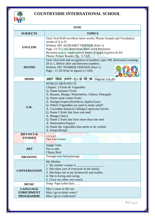

| <b>JUNE</b>                                              |                                                                                                                                                                                                                                                                                                                                                                                                                                                                                                                                   |  |
|----------------------------------------------------------|-----------------------------------------------------------------------------------------------------------------------------------------------------------------------------------------------------------------------------------------------------------------------------------------------------------------------------------------------------------------------------------------------------------------------------------------------------------------------------------------------------------------------------------|--|
| <b>SUBJECTS</b>                                          | <b>TOPICS</b>                                                                                                                                                                                                                                                                                                                                                                                                                                                                                                                     |  |
| <b>ENGLISH</b>                                           | Oral: Oral Drill-two/three letter words, Phonic Sounds and Vocabulary<br>words of A to D<br>Written: MY ALPHABET FRIENDS (Part-1)<br>Page :12-31 (two letter/three letter word Revision)<br>Revision (a to z- small cursive letters) Capital Cursive (A-D)<br>Phonic Primer Reader: Pg.: 6,7,8,9.                                                                                                                                                                                                                                 |  |
| <b>MATHS</b>                                             | Oral: Oral drill and recognition of numbers upto 100, Backward counting-<br>20 to 1, Before after and between numbers.<br>Written: MY NUMBER FRIENDS (Part-1)<br>Page: $11-30$ Write in figures $(1-100)$                                                                                                                                                                                                                                                                                                                         |  |
| <b>HINDI</b>                                             | अक्षर खेल (भाग-१)-अ से ऋ (Page no. 1 to 28)                                                                                                                                                                                                                                                                                                                                                                                                                                                                                       |  |
| G.K.                                                     | <b>WORLD AROUND US</b><br>Chapter: 2-Fruits & Vegetables<br>Q. Name Summer Fruits<br>A. Banana, Mango, Watermelon, Chikoo, Pineapple<br>Q. Name some winter Fruits<br>A. Orange, Grapes, Strawberry, Apple, Guava<br>Q. Which Vegetables are used to make salad?<br>A. Cucumber, Spinach, Cabbage, Capsicum, Carrots<br>Q. Name 2 fruits that have one seed<br>A. Mango, Cherry<br>Q. Name 2 fruits that have more than one seed<br>A. Watermelon, Papaya<br>Q. Name the vegetables that needs to be cooked<br>A. Potato, Brinjal |  |
| <b>RHYMES &amp;</b><br><b>STORIES</b>                    | $1 - 2 - 3 - 4 - 5$<br>Tom-Tom-Tomato                                                                                                                                                                                                                                                                                                                                                                                                                                                                                             |  |
| <b>ART</b>                                               | Jungle Time<br>Pat-a-cake<br>Chirpy Bird                                                                                                                                                                                                                                                                                                                                                                                                                                                                                          |  |
| <b>DRAWING</b>                                           | Triangle (ear bud printing)                                                                                                                                                                                                                                                                                                                                                                                                                                                                                                       |  |
| <b>CONVERSATION</b>                                      | My Mother<br>1. My mother's name is<br>2. She takes care of everyone in the family.<br>3. She helps me in my homework and studies.<br>4. She is loving and caring.<br>5. I love my other very much.                                                                                                                                                                                                                                                                                                                               |  |
| <b>MUSIC</b>                                             | Song-Papa kehte hain                                                                                                                                                                                                                                                                                                                                                                                                                                                                                                              |  |
| <b>LANGUAGE</b><br><b>ENRICHMENT</b><br><b>PROGRAMME</b> | May I come in Ma'am<br>May I go to drink water?<br>May I go to washroom?                                                                                                                                                                                                                                                                                                                                                                                                                                                          |  |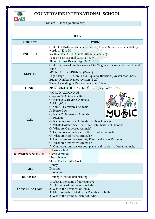

Ma'am, Can we go out to play.

| <b>JULY</b>                 |                                                                                                                                                                                                                                                                                                                                                                                                                                                                                                                                                                                                                                |  |
|-----------------------------|--------------------------------------------------------------------------------------------------------------------------------------------------------------------------------------------------------------------------------------------------------------------------------------------------------------------------------------------------------------------------------------------------------------------------------------------------------------------------------------------------------------------------------------------------------------------------------------------------------------------------------|--|
| <b>SUBJECT</b>              | <b>TOPIC</b>                                                                                                                                                                                                                                                                                                                                                                                                                                                                                                                                                                                                                   |  |
| <b>ENGLISH</b>              | Oral: Oral Drill-two/three letter words, Phonic Sounds and Vocabulary<br>words of E to M<br>Written: MY ALPHABET FRIENDS (Part-1)<br>Page: 32-65 (Capital Cursive -E-M)<br>Phonic Primer Reader: Pg. 10,11,12,13.                                                                                                                                                                                                                                                                                                                                                                                                              |  |
| <b>MATHS</b>                | Oral: Revision of number names 1 to 20, greater, lesser and equal to and<br>Time<br><b>MY NUMBER FRIENDS (Part-1)</b><br>Page: Page 31-60 More, Less, Equal to-Revision (Greater than, Less,<br>Equal), Number Names revision (1-20)<br>Time, Ascending & Descending Order, Time                                                                                                                                                                                                                                                                                                                                               |  |
| <b>HINDI</b>                | अक्षर खेल (भाग-१)-ए से अः (Page no. 29 to 52)                                                                                                                                                                                                                                                                                                                                                                                                                                                                                                                                                                                  |  |
| G.K.                        | <b>WORLD AROUND US</b><br>Chapter- 3: Animals & Birds<br>Q. Name 2 Carnivores Animals<br>A. Lion, Wolf<br>Q.Name 2 Herbivores Animals<br>A. Horse, Cow<br>Q. Name 2 Omnivores Animals<br>A. Pig, Dog<br>Q. Name few Aquatic Animals that lives in water<br>A. Whale, Dolphin, Sea Horse, Star Fish, Shark, Seal, Octopus<br>Q. What are Carnivores Animals?<br>A. Carnivores animals eat the flesh of other animals.<br>Q. What are Herbivores Animals?<br>A. Herbivores animals eat only Plants and Plants Products<br>Q. What are Omnivores Animals?<br>A. Omnivores animals eat both plants and the flesh of other animals. |  |
| <b>RHYMES &amp; STORIES</b> | If I were a bird<br>Careless minku<br>I hear thunder<br>Story: The two silly Goats                                                                                                                                                                                                                                                                                                                                                                                                                                                                                                                                             |  |
| <b>ART</b>                  | Honey<br>Dinosaur<br>Hoot aloud                                                                                                                                                                                                                                                                                                                                                                                                                                                                                                                                                                                                |  |
| <b>DRAWING</b>              | Rectangle (cotton ball printing)                                                                                                                                                                                                                                                                                                                                                                                                                                                                                                                                                                                               |  |
| <b>CONVERSATION</b>         | 1. What is the name of our country?<br>A. The name of our country is India.<br>2. Who is the President of India?<br>A. Mr. Ramnath Kobind is the President of India.<br>3. Who is the Prime Minister of India?                                                                                                                                                                                                                                                                                                                                                                                                                 |  |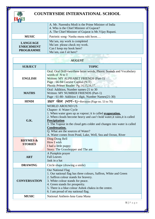

|                                                          | A. Mr. Narendra Modi is the Prime Minister of India<br>4. Who is the Chief Minister of Gujarat?<br>A. The Chief Minister of Gujarat is Mr. Vijay Rupani. |
|----------------------------------------------------------|----------------------------------------------------------------------------------------------------------------------------------------------------------|
| <b>MUSIC</b>                                             | Patriotic song- Nanha muna rahi hoon                                                                                                                     |
| <b>LANGUAGE</b><br><b>ENRICHMENT</b><br><b>PROGRAMME</b> | Ma'am, my work is completed<br>Ma'am please check my work.<br>Can I keep my book here?<br>Ma'am, can I sit here?                                         |

| <b>AUGUST</b>                         |                                                                                                                                                                                                                                                                                                                                                                                                                                   |  |
|---------------------------------------|-----------------------------------------------------------------------------------------------------------------------------------------------------------------------------------------------------------------------------------------------------------------------------------------------------------------------------------------------------------------------------------------------------------------------------------|--|
| <b>SUBJECT</b>                        | <b>TOPIC</b>                                                                                                                                                                                                                                                                                                                                                                                                                      |  |
| <b>ENGLISH</b>                        | Oral: Oral Drill-two/three letter words, Phonic Sounds and Vocabulary<br>words of N to T<br>Written: MY ALPHABET FRIENDS (Part-1)<br>Page: 66-94 Cursive Capital (N-T)<br>Phonic Primer Reader: Pg.14,15,16,17.                                                                                                                                                                                                                   |  |
| <b>MATHS</b>                          | Oral: Addition, Number names-21 to 30<br>Written: MY NUMBER FRIENDS (Part-1)<br>Page : 61-80- Addition 1 digit, Number Names(21-30)                                                                                                                                                                                                                                                                                               |  |
| <b>HINDI</b>                          | अक्षर खेल (भाग-१)-Revision (Page no. 53 to 70)                                                                                                                                                                                                                                                                                                                                                                                    |  |
| G.K.                                  | <b>WORLD AROUND US</b><br>Chapter- 4: Water Cycle<br>1. When water goes up as vapour; it is called <b>evaporation</b> .<br>2. When clouds become heavy and can't hold water, it rains, it is called<br><b>Precipitation</b><br>3. The Vapour in the cloud gets colder and changes into water is called<br><b>Condensation.</b><br>Q. What are the sources of Water?<br>A. Water comes from Pond, Lake, Well, Sea and Ocean, River |  |
| <b>RHYMES &amp;</b><br><b>STORIES</b> | Ding-Dong Bell<br>How I wish<br>I had a little puppy<br>Story: The Grasshopper and The ant                                                                                                                                                                                                                                                                                                                                        |  |
| <b>ART</b>                            | A Pumpkin prayer<br><b>Fall Leaves</b><br>Jask in a hat                                                                                                                                                                                                                                                                                                                                                                           |  |
| <b>DRAWING</b>                        | Circle shape (drawing a smile)                                                                                                                                                                                                                                                                                                                                                                                                    |  |
| <b>CONVERSATION</b>                   | <b>Our National Flag</b><br>1. Our national flag has three colours, Saffron, White and Green<br>2. Saffron colour stands for bravery.<br>3. White colour stands for peace.<br>4. Green stands for prosperity.<br>5. There is a blue colour Ashok chakra in the centre.<br>6. I am proud of my national flag.                                                                                                                      |  |
| <b>MUSIC</b>                          | National Anthem-Jana Gana Mana                                                                                                                                                                                                                                                                                                                                                                                                    |  |

9 | P a g e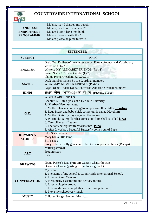

|                   | Ma'am, may I sharpen my pencil. |
|-------------------|---------------------------------|
| <b>LANGUAGE</b>   | Ma'am, can I borrow a pencil?   |
| <b>ENRICHMENT</b> | Ma'am I don't have my book.     |
| <b>PROGRAMME</b>  | Ma'am, how to write this?       |
|                   | Ma'am please help me to write.  |

| <b>SEPTEMBER</b>                              |                                                                                                                                                                                                                                                                                                                                                                                                                                                                                                                                                                                     |  |
|-----------------------------------------------|-------------------------------------------------------------------------------------------------------------------------------------------------------------------------------------------------------------------------------------------------------------------------------------------------------------------------------------------------------------------------------------------------------------------------------------------------------------------------------------------------------------------------------------------------------------------------------------|--|
| <b>SUBJECT</b>                                | <b>TOPIC</b>                                                                                                                                                                                                                                                                                                                                                                                                                                                                                                                                                                        |  |
| <b>ENGLISH</b>                                | Oral: Oral Drill-two/three letter words, Phonic Sounds and Vocabulary<br>words of U to Z<br>Written: MY ALPHABET FRIENDS (Part-1)<br>Page: 95-120 Cursive Capital (U-Z)<br>Phonic Primer Reader: 18, 19, 20, 21.                                                                                                                                                                                                                                                                                                                                                                    |  |
| <b>MATHS</b>                                  | Oral: Number names-31 to 60, ordinal numbers<br>Written-MY NUMBER FRIENDS (Part-1)<br>Page : 81-95- Write (31-60) in words-Addition-Ordinal Numbers                                                                                                                                                                                                                                                                                                                                                                                                                                 |  |
| <b>HINDI</b>                                  | 31क्षर खेल (भाग-२)-क से ञ (Page no. 1 to 25)                                                                                                                                                                                                                                                                                                                                                                                                                                                                                                                                        |  |
| G.K.<br><b>RHYMES &amp;</b><br><b>STORIES</b> | <b>WORLD AROUND US</b><br>Chapter -5 : Life Cycles of a Hen & A Butterfly<br>1. Mother Hen lays eggs.<br>2. Mother Hen sits on the egg to keep warm. It is Called Roosting<br>3. Eggs Break and baby chick comes out is called <b>Hatching</b><br>4. Mother Butterfly Lays eggs on the leaves.<br>5. Worm like caterpillar that comes out from shell is called <b>larva</b><br>6. Caterpillar eats Leaves<br>7. The fatty caterpillar transforms into <b>Pupa</b><br>8. After 2 weeks, a beautiful <b>Butterfly</b> comes out of Pupa<br>I don't know why<br>Mary had a little lamb |  |
|                                               | Bill's shoe<br>Story: The two silly goats and The Grasshopper and the ant (Recaps)                                                                                                                                                                                                                                                                                                                                                                                                                                                                                                  |  |
| <b>ART</b>                                    | Mitten(patterns)<br>Frog in steps<br>Fish                                                                                                                                                                                                                                                                                                                                                                                                                                                                                                                                           |  |
| <b>DRAWING</b>                                | Grand Parent's Day craft OR Ganesh Chaturthi craft<br>Origami – House (pasting in the drawing book)                                                                                                                                                                                                                                                                                                                                                                                                                                                                                 |  |
| <b>CONVERSATION</b>                           | My School.<br>1. The name of my school is Countryside International School.<br>2. It has a Green Campus.<br>3. It has many classrooms and activity rooms.<br>4. It has a big playground.<br>5. It has auditorium, amphitheatre and computer lab.<br>6. I love my school very much.                                                                                                                                                                                                                                                                                                  |  |
| <b>MUSIC</b>                                  | Children Song-Nani teri Morni                                                                                                                                                                                                                                                                                                                                                                                                                                                                                                                                                       |  |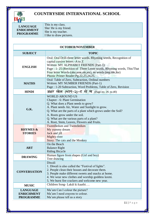

| <b>LANGUAGE</b>   | This is my class.        |
|-------------------|--------------------------|
| <b>ENRICHMENT</b> | She/ He is my friend.    |
| <b>PROGRAMME</b>  | She is my teacher.       |
|                   | I like to draw pictures. |

| <b>OCTOBER/NOVEMBER</b>                                  |                                                                                                                                                                                                                                                                                                                                                |  |
|----------------------------------------------------------|------------------------------------------------------------------------------------------------------------------------------------------------------------------------------------------------------------------------------------------------------------------------------------------------------------------------------------------------|--|
| <b>SUBJECT</b>                                           | <b>TOPIC</b>                                                                                                                                                                                                                                                                                                                                   |  |
| <b>ENGLISH</b>                                           | Oral: Oral Drill-three letter words, Rhyming words, Recognition of<br>capital cursive letters -A to Z<br>Written: MY ALPHABET FRIENDS (Part-1)<br>Page : 1-25 (Revision of Three Letter words, Rhyming words, This/That<br>Four letter Words-(ake, ame, ale, ate), ee words (eep, ide, ike)<br>Phonic Primer Reader:Pg.22,23,24,25.            |  |
| <b>MATHS</b>                                             | Oral: Table of Zero, Subtraction, Ordinal numbers<br>Written: MY NUMBER FRIENDS (Part-1)<br>Page : 1-20 Subtraction, Word Problems, Table of Zero, Revision                                                                                                                                                                                    |  |
| <b>HINDI</b>                                             | अक्षर खेल (भाग-२)-ट से ण (Page no. 26 to 40)                                                                                                                                                                                                                                                                                                   |  |
| G.K.                                                     | <b>WORLD AROUND US</b><br>Chapter - 6: Plant Germination<br>Q. What does a Plant needs to grow?<br>A. Plant needs Air, Water and Sunlight to grow.<br>Q. What are the parts of a plant which grows under the Soil?<br>A. Roots grow under the soil.<br>Q. What are the various parts of a plant?<br>A. Root, Stem, Leaves, Flowers and Fruits. |  |
| <b>RHYMES &amp;</b><br><b>STORIES</b>                    | <b>Tweedledum and Tweedledum</b><br>My yummy dream<br>Jack and jill<br>Mighty river<br><b>Story:</b> The cats and the Monkey                                                                                                                                                                                                                   |  |
| <b>ART</b>                                               | On the Beach<br><b>Balance Right</b><br><b>Riding Bicycle</b>                                                                                                                                                                                                                                                                                  |  |
| <b>DRAWING</b>                                           | Human figure from shapes (Girl and boy)<br>Tree drawing                                                                                                                                                                                                                                                                                        |  |
| <b>CONVERSATION</b>                                      | Diwali<br>1. Diwali is also called the "Festival of lights".<br>2. People clean their houses and decorate them.<br>3. People make different sweets and snacks at home.<br>4. We wear new clothes and worship goddess laxmi.<br>5. We burst fire crackers and welcome new year.                                                                 |  |
| <b>MUSIC</b>                                             | Children Song- Lakdi ki kaathi                                                                                                                                                                                                                                                                                                                 |  |
| <b>LANGUAGE</b><br><b>ENRICHMENT</b><br><b>PROGRAMME</b> | Ma'am Can I colour the picture?<br>Ma'am I need crayons to colour.<br>Ma'am please tell us a story                                                                                                                                                                                                                                             |  |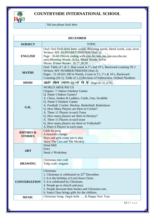

#### Ma'am please look here.

| <b>DECEMBER</b>                               |                                                                                                                                                                                                                                                                                                                                                                                                                                                                                                                                                            |
|-----------------------------------------------|------------------------------------------------------------------------------------------------------------------------------------------------------------------------------------------------------------------------------------------------------------------------------------------------------------------------------------------------------------------------------------------------------------------------------------------------------------------------------------------------------------------------------------------------------------|
| <b>SUBJECT</b>                                | <b>TOPIC</b>                                                                                                                                                                                                                                                                                                                                                                                                                                                                                                                                               |
| <b>ENGLISH</b>                                | Oral: Oral Drill-three letter words, Rhyming words, blend words, a/an, in/on<br>Written: MY ALPHABET FRIENDS (Part-1)<br>Page: 26-60 (Words ending with-(ine,ile,ome,one,ope,ose,ube,ute,<br>une), Rhyming Words, A/An, Blend Words, In/On<br>Phonic Primer Reader: 26,27,28,29.                                                                                                                                                                                                                                                                           |
| <b>MATHS</b>                                  | Oral: Table of 1 & 2, Skip count in 5's and 10's, Backward counting 50-1<br>Written: MY NUMBER FRIENDS (Part-2)<br>Pages: 21-50 (61-100 in Words, Count in 2's, 5's & 10's, Backward<br>Counting (50-1), Table of 1,2), Revision of Subtraction, Ordinal Numbers                                                                                                                                                                                                                                                                                           |
| <b>HINDI</b>                                  | अक्षर खेल (भाग−२)−त से ष (Page no. 41 to 70)                                                                                                                                                                                                                                                                                                                                                                                                                                                                                                               |
| G.K.<br><b>RHYMES &amp;</b><br><b>STORIES</b> | <b>WORLD AROUND US</b><br>Chapter- 7: Indoor-Outdoor Games<br>Q. Name 5 Indoor Games?<br>A. Chess, Snakes & Ladders, Cards, Uno, Scrabble<br>Q. Name 5 Outdoor Games<br>A. Football, Cricket, Hockey, Basketball, Badminton<br>Q. How Many Players are there in Cricket?<br>A. There 11 Players in each Team<br>Q. How many players are there in Hockey?<br>A. There 11 Players in each team<br>Q. How many players are there in Volleyball?<br>A. There 6 Players in each team<br>Little bo peep<br>A beautiful change<br>Boys and girls come out to play |
|                                               | <b>Story-The Cats and The Monkey</b>                                                                                                                                                                                                                                                                                                                                                                                                                                                                                                                       |
| <b>ART</b>                                    | Wind Mill<br>Fairy<br>Santa's Workshop                                                                                                                                                                                                                                                                                                                                                                                                                                                                                                                     |
| <b>DRAWING</b>                                | Christmas tree craft<br>Tulip craft- origami                                                                                                                                                                                                                                                                                                                                                                                                                                                                                                               |
| <b>CONVERSATION</b>                           | Christmas<br>1. Christmas is celebrated on $25th$ December.<br>2. It is the birthday of Lord Jesus Christ.<br>3. It is celebrated by Christians.<br>4. People go to church and pray.<br>5. People decorate their homes and Christmas tree.<br>6. Santa Claus brings gifts for the children.                                                                                                                                                                                                                                                                |
| <b>MUSIC</b>                                  | Christmas Song- Jingle bells & Happy New Year                                                                                                                                                                                                                                                                                                                                                                                                                                                                                                              |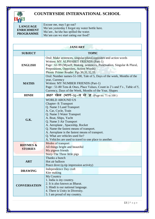| <b>LANGUAGE</b><br><b>ENRICHMENT</b><br><b>PROGRAMME</b> | Excuse me, may I go out?<br>Ma'am yesterday I forgot my water bottle here.<br>Ma'am, he/she has spilled the water.<br>Ma'am can we start eating our food? |
|----------------------------------------------------------|-----------------------------------------------------------------------------------------------------------------------------------------------------------|
|----------------------------------------------------------|-----------------------------------------------------------------------------------------------------------------------------------------------------------|

| <b>JANUARY</b>                        |                                                                                                                                                                                                                                                                                                                                                                                                                   |
|---------------------------------------|-------------------------------------------------------------------------------------------------------------------------------------------------------------------------------------------------------------------------------------------------------------------------------------------------------------------------------------------------------------------------------------------------------------------|
| <b>SUBJECT</b>                        | <b>TOPIC</b>                                                                                                                                                                                                                                                                                                                                                                                                      |
| <b>ENGLISH</b>                        | Oral: Make sentences, singular/plural, opposites and action words<br>Written: MY ALPHABET FRIENDS (Part-1)<br>Page : 61-99 (Myself, Making sentences, Punctuation, Singular & Plural,<br>Prepositions, Opposites, Action Words)<br>Phonic Primer Reader: Pgs.30,31,32,33.                                                                                                                                         |
| <b>MATHS</b>                          | Oral: Number names-51-100, Tale of 5, Days of the week, Months of the<br>year, Currency<br>Written: MY NUMBER FRIENDS (Part-1)<br>Page : 51-80 Tens & Ones, Place Values, Count in 2's and 5's, Table of 5,<br>Currency, Days of the Week, Months of the Year, Shapes                                                                                                                                             |
| <b>HINDI</b>                          | अक्षर खेल (भाग−२)−य से ज्ञ (Page no. 71 to 100)                                                                                                                                                                                                                                                                                                                                                                   |
| G.K.                                  | <b>WORLD AROUND US</b><br>Chapter-8: Transport<br>Q. Name 3 Land Transport<br>A. Car, Cycle, Train<br>Q. Name 3 Water Transport<br>A. Boat, Ships, Yacht<br>Q. Name 3 Air Transport<br>A. Aeroplane, Spaceship, Rocket<br>Q. Name the fastest means of transport.<br>A. Aeroplane is the fastest means of transport.<br>Q. What are vehicles used for?<br>A. Vehicles are used to travel to one place to another. |
| <b>RHYMES &amp;</b><br><b>STORIES</b> | Modes of transport<br>All things bright and beautiful<br>My pigeon friends<br>Story-The Three little pigs                                                                                                                                                                                                                                                                                                         |
| <b>ART</b>                            | Thanks a bunch<br>Hot air balloon<br>Peace dove (q-tip impression activity)                                                                                                                                                                                                                                                                                                                                       |
| <b>DRAWING</b>                        | Independence Day craft<br>Kite making                                                                                                                                                                                                                                                                                                                                                                             |
| <b>CONVERSATION</b>                   | My Country<br>1. India is my country.<br>2. It is also known as Bharat.<br>3. Hindi is our national language.<br>4. There is Unity in Diversity.<br>5. I am proud of my country.                                                                                                                                                                                                                                  |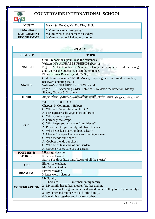

| <b>MUSIC</b>                                             | Basic- Sa, Re, Ga, Ma, Pa, Dha, Ni, Sa                                                                  |
|----------------------------------------------------------|---------------------------------------------------------------------------------------------------------|
| <b>LANGUAGE</b><br><b>ENRICHMENT</b><br><b>PROGRAMME</b> | Ma'am, where are we going?<br>Ma'am, what is the homework today?<br>Ma'am yesterday I helped my mother. |

| <b>FEBRUARY</b>     |                                                                                                                                                                                                                                                                                                                                                                                                                                                                                                                                              |  |
|---------------------|----------------------------------------------------------------------------------------------------------------------------------------------------------------------------------------------------------------------------------------------------------------------------------------------------------------------------------------------------------------------------------------------------------------------------------------------------------------------------------------------------------------------------------------------|--|
| <b>SUBJECT</b>      | <b>TOPIC</b>                                                                                                                                                                                                                                                                                                                                                                                                                                                                                                                                 |  |
| <b>ENGLISH</b>      | Oral: Prepositions, pairs, read the sentences<br>Written: MY ALPHABET FRIENDS (Part-1)<br>Page: 92-113-Complete the Sentences, Copy the Paragraph, Read the Passage<br>and Answer the questions, Form the sentences<br>Phonic Primer Reader: Pg. 34, 35, 36, 37.                                                                                                                                                                                                                                                                             |  |
| <b>MATHS</b>        | Oral: Number names 61-100, Money, Shapes, greater and smaller number,<br>backward counting 100-1<br>Written-MY NUMBER FRIENDS (Part-1)<br>Page: 81-96 Ascending Order, Table of 5, Revision (Subtraction, Money,<br>Shapes, Greater & Smaller)                                                                                                                                                                                                                                                                                               |  |
| <b>HINDI</b>        | अक्षर खेल (भाग-२)-दो-तीन वर्णों वाले शब्द (Page no.101 to 121)                                                                                                                                                                                                                                                                                                                                                                                                                                                                               |  |
| G.K.                | <b>WORLD AROUND US</b><br><b>Chapter-9: Community Helpers</b><br>Q. Who sells Vegetables and Fruits?<br>A. Greengrocer sells vegetables and fruits.<br>Q. Who grows Crops?<br>A. Farmer grows crops.<br>Q. Who keeps your city safe from thieves?<br>A. Policeman keeps our city safe from thieves.<br>Q. Who helps keep surroundings Clean?<br>A. Cleaner/Sweeper keeps our surroundings clean.<br>Q. Who mends our Shoes?<br>A. Cobbler mends our shoes.<br>Q. Who helps take care of our Garden?<br>A. Gardener takes care of our garden. |  |
| <b>RHYMES &amp;</b> | Mister golden sun                                                                                                                                                                                                                                                                                                                                                                                                                                                                                                                            |  |
| <b>STORIES</b>      | It's a small world                                                                                                                                                                                                                                                                                                                                                                                                                                                                                                                           |  |
| <b>ART</b>          | Story: The three little pigs. (Recap of all the stories)<br>Elmer the elephant<br>Mr. Alex's Garden                                                                                                                                                                                                                                                                                                                                                                                                                                          |  |
| <b>DRAWING</b>      | Flower drawing<br>3-letter words pictures                                                                                                                                                                                                                                                                                                                                                                                                                                                                                                    |  |
| <b>CONVERSATION</b> | My Family<br>1. There are <u>equal members</u> in my family.<br>2. My family has father, mother, brother and me<br>(Parents can include grandfather and grandmother if they live in joint family)<br>3. My father and mother works for the family.<br>4. We all live together and love each other.                                                                                                                                                                                                                                           |  |